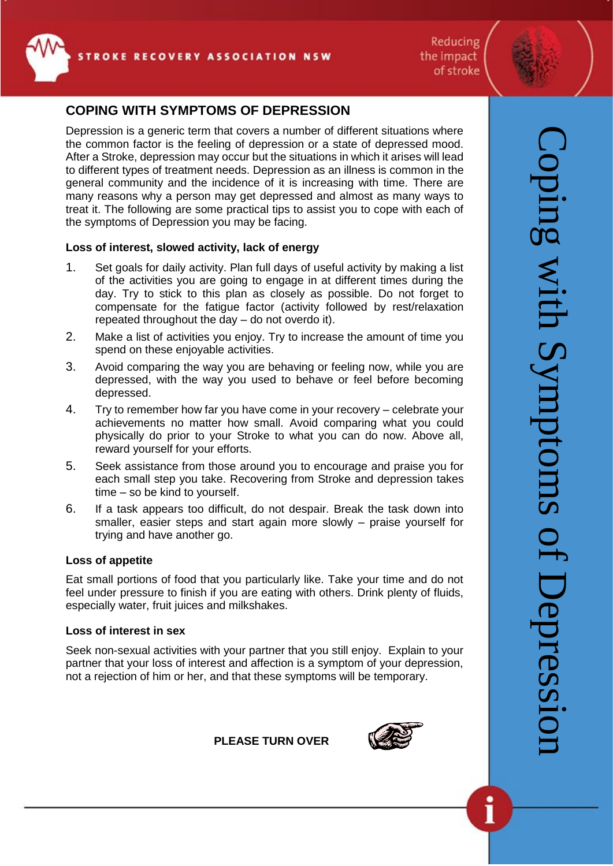





# **COPING WITH SYMPTOMS OF DEPRESSION**

Depression is a generic term that covers a number of different situations where the common factor is the feeling of depression or a state of depressed mood. After a Stroke, depression may occur but the situations in which it arises will lead to different types of treatment needs. Depression as an illness is common in the general community and the incidence of it is increasing with time. There are many reasons why a person may get depressed and almost as many ways to treat it. The following are some practical tips to assist you to cope with each of the symptoms of Depression you may be facing.

# **Loss of interest, slowed activity, lack of energy**

- 1. Set goals for daily activity. Plan full days of useful activity by making a list of the activities you are going to engage in at different times during the day. Try to stick to this plan as closely as possible. Do not forget to compensate for the fatigue factor (activity followed by rest/relaxation repeated throughout the day – do not overdo it).
- 2. Make a list of activities you enjoy. Try to increase the amount of time you spend on these enjoyable activities.
- 3. Avoid comparing the way you are behaving or feeling now, while you are depressed, with the way you used to behave or feel before becoming depressed.
- 4. Try to remember how far you have come in your recovery celebrate your achievements no matter how small. Avoid comparing what you could physically do prior to your Stroke to what you can do now. Above all, reward yourself for your efforts.
- 5. Seek assistance from those around you to encourage and praise you for each small step you take. Recovering from Stroke and depression takes time – so be kind to yourself.
- 6. If a task appears too difficult, do not despair. Break the task down into smaller, easier steps and start again more slowly – praise yourself for trying and have another go.

## **Loss of appetite**

Eat small portions of food that you particularly like. Take your time and do not feel under pressure to finish if you are eating with others. Drink plenty of fluids, especially water, fruit juices and milkshakes.

# **Loss of interest in sex**

Seek non-sexual activities with your partner that you still enjoy. Explain to your partner that your loss of interest and affection is a symptom of your depression, not a rejection of him or her, and that these symptoms will be temporary.

**PLEASE TURN OVER** 

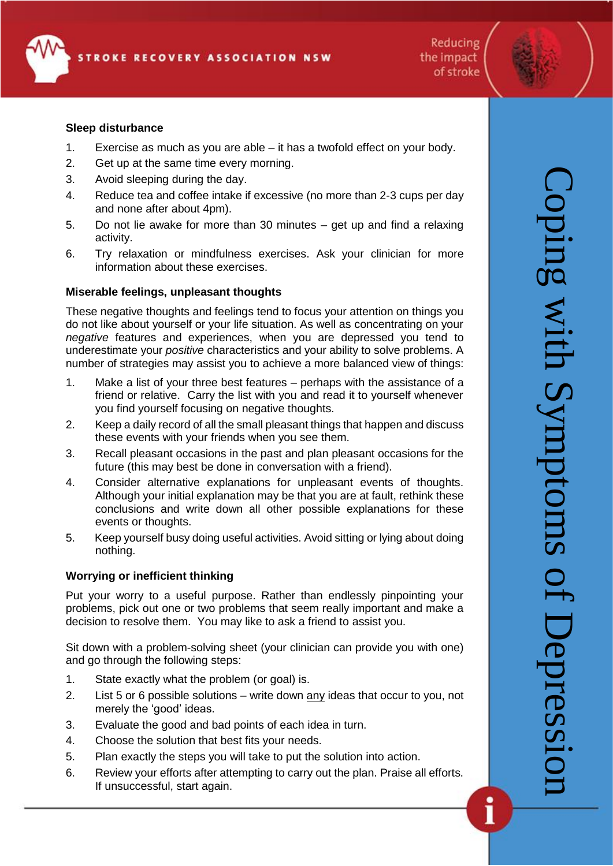Reducing the impact of stroke

## **Sleep disturbance**

- 1. Exercise as much as you are able it has a twofold effect on your body.
- 2. Get up at the same time every morning.
- 3. Avoid sleeping during the day.
- 4. Reduce tea and coffee intake if excessive (no more than 2-3 cups per day and none after about 4pm).
- 5. Do not lie awake for more than 30 minutes get up and find a relaxing activity.
- 6. Try relaxation or mindfulness exercises. Ask your clinician for more information about these exercises.

## **Miserable feelings, unpleasant thoughts**

These negative thoughts and feelings tend to focus your attention on things you do not like about yourself or your life situation. As well as concentrating on your *negative* features and experiences, when you are depressed you tend to underestimate your *positive* characteristics and your ability to solve problems. A number of strategies may assist you to achieve a more balanced view of things:

- 1. Make a list of your three best features perhaps with the assistance of a friend or relative. Carry the list with you and read it to yourself whenever you find yourself focusing on negative thoughts.
- 2. Keep a daily record of all the small pleasant things that happen and discuss these events with your friends when you see them.
- 3. Recall pleasant occasions in the past and plan pleasant occasions for the future (this may best be done in conversation with a friend).
- 4. Consider alternative explanations for unpleasant events of thoughts. Although your initial explanation may be that you are at fault, rethink these conclusions and write down all other possible explanations for these events or thoughts.
- 5. Keep yourself busy doing useful activities. Avoid sitting or lying about doing nothing.

## **Worrying or inefficient thinking**

Put your worry to a useful purpose. Rather than endlessly pinpointing your problems, pick out one or two problems that seem really important and make a decision to resolve them. You may like to ask a friend to assist you.

Sit down with a problem-solving sheet (your clinician can provide you with one) and go through the following steps:

- 1. State exactly what the problem (or goal) is.
- 2. List 5 or 6 possible solutions write down any ideas that occur to you, not merely the 'good' ideas.
- 3. Evaluate the good and bad points of each idea in turn.
- 4. Choose the solution that best fits your needs.
- 5. Plan exactly the steps you will take to put the solution into action.
- 6. Review your efforts after attempting to carry out the plan. Praise all efforts. If unsuccessful, start again.